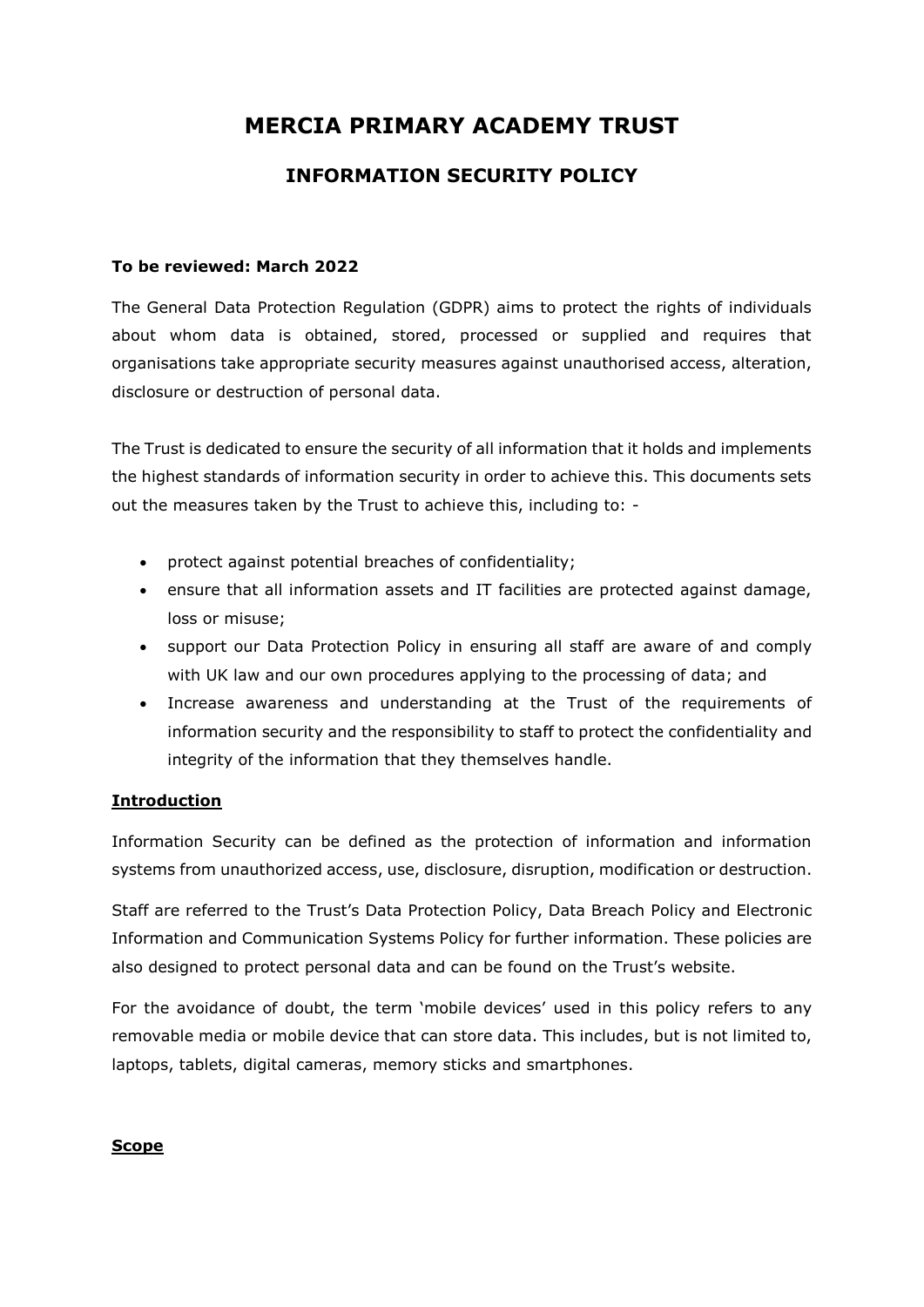# **MERCIA PRIMARY ACADEMY TRUST**

# **INFORMATION SECURITY POLICY**

### **To be reviewed: March 2022**

The General Data Protection Regulation (GDPR) aims to protect the rights of individuals about whom data is obtained, stored, processed or supplied and requires that organisations take appropriate security measures against unauthorised access, alteration, disclosure or destruction of personal data.

The Trust is dedicated to ensure the security of all information that it holds and implements the highest standards of information security in order to achieve this. This documents sets out the measures taken by the Trust to achieve this, including to: -

- protect against potential breaches of confidentiality;
- ensure that all information assets and IT facilities are protected against damage, loss or misuse;
- support our Data Protection Policy in ensuring all staff are aware of and comply with UK law and our own procedures applying to the processing of data; and
- Increase awareness and understanding at the Trust of the requirements of information security and the responsibility to staff to protect the confidentiality and integrity of the information that they themselves handle.

# **Introduction**

Information Security can be defined as the protection of information and information systems from unauthorized access, use, disclosure, disruption, modification or destruction.

Staff are referred to the Trust's Data Protection Policy, Data Breach Policy and Electronic Information and Communication Systems Policy for further information. These policies are also designed to protect personal data and can be found on the Trust's website.

For the avoidance of doubt, the term 'mobile devices' used in this policy refers to any removable media or mobile device that can store data. This includes, but is not limited to, laptops, tablets, digital cameras, memory sticks and smartphones.

#### **Scope**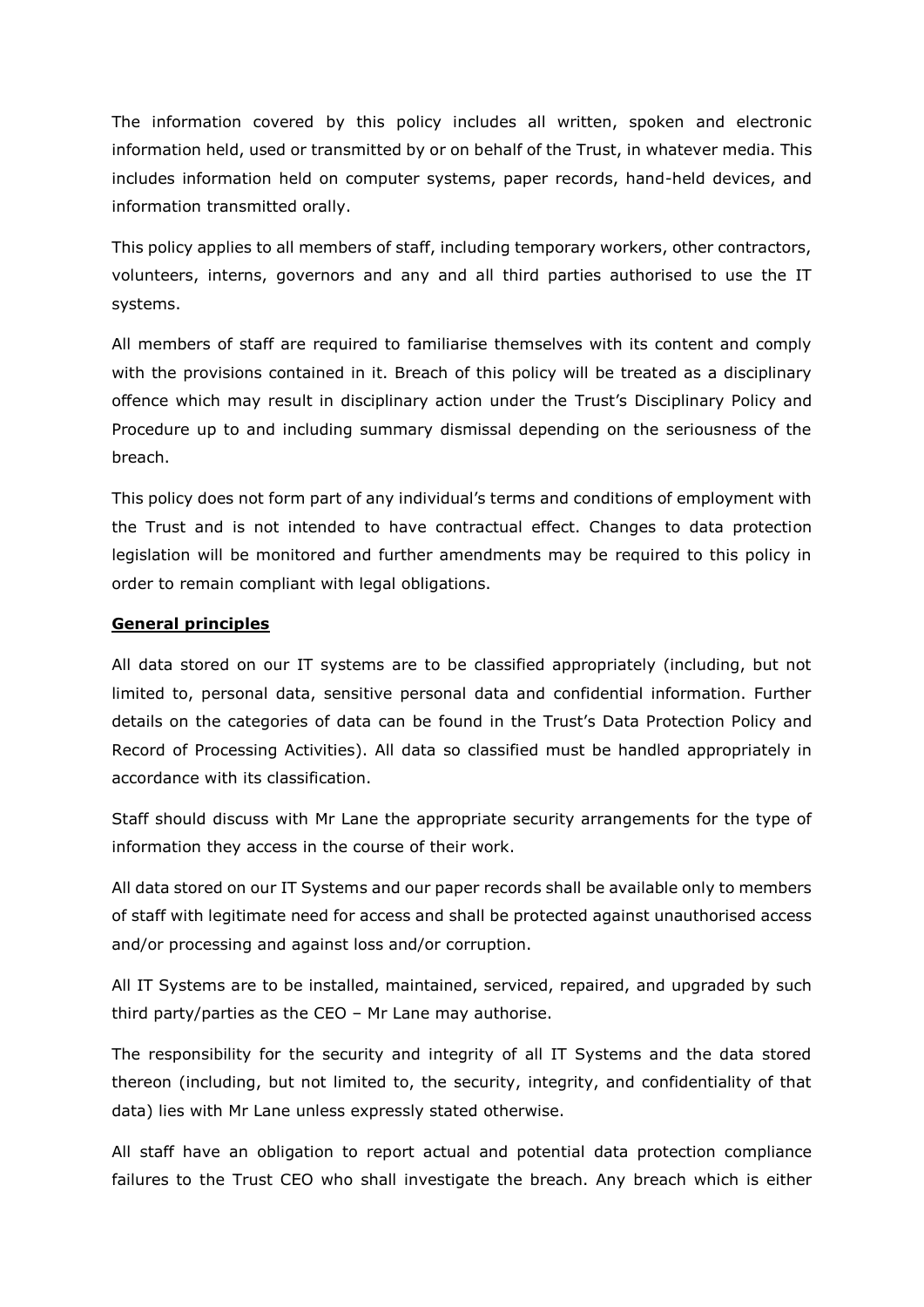The information covered by this policy includes all written, spoken and electronic information held, used or transmitted by or on behalf of the Trust, in whatever media. This includes information held on computer systems, paper records, hand-held devices, and information transmitted orally.

This policy applies to all members of staff, including temporary workers, other contractors, volunteers, interns, governors and any and all third parties authorised to use the IT systems.

All members of staff are required to familiarise themselves with its content and comply with the provisions contained in it. Breach of this policy will be treated as a disciplinary offence which may result in disciplinary action under the Trust's Disciplinary Policy and Procedure up to and including summary dismissal depending on the seriousness of the breach.

This policy does not form part of any individual's terms and conditions of employment with the Trust and is not intended to have contractual effect. Changes to data protection legislation will be monitored and further amendments may be required to this policy in order to remain compliant with legal obligations.

## **General principles**

All data stored on our IT systems are to be classified appropriately (including, but not limited to, personal data, sensitive personal data and confidential information. Further details on the categories of data can be found in the Trust's Data Protection Policy and Record of Processing Activities). All data so classified must be handled appropriately in accordance with its classification.

Staff should discuss with Mr Lane the appropriate security arrangements for the type of information they access in the course of their work.

All data stored on our IT Systems and our paper records shall be available only to members of staff with legitimate need for access and shall be protected against unauthorised access and/or processing and against loss and/or corruption.

All IT Systems are to be installed, maintained, serviced, repaired, and upgraded by such third party/parties as the CEO – Mr Lane may authorise.

The responsibility for the security and integrity of all IT Systems and the data stored thereon (including, but not limited to, the security, integrity, and confidentiality of that data) lies with Mr Lane unless expressly stated otherwise.

All staff have an obligation to report actual and potential data protection compliance failures to the Trust CEO who shall investigate the breach. Any breach which is either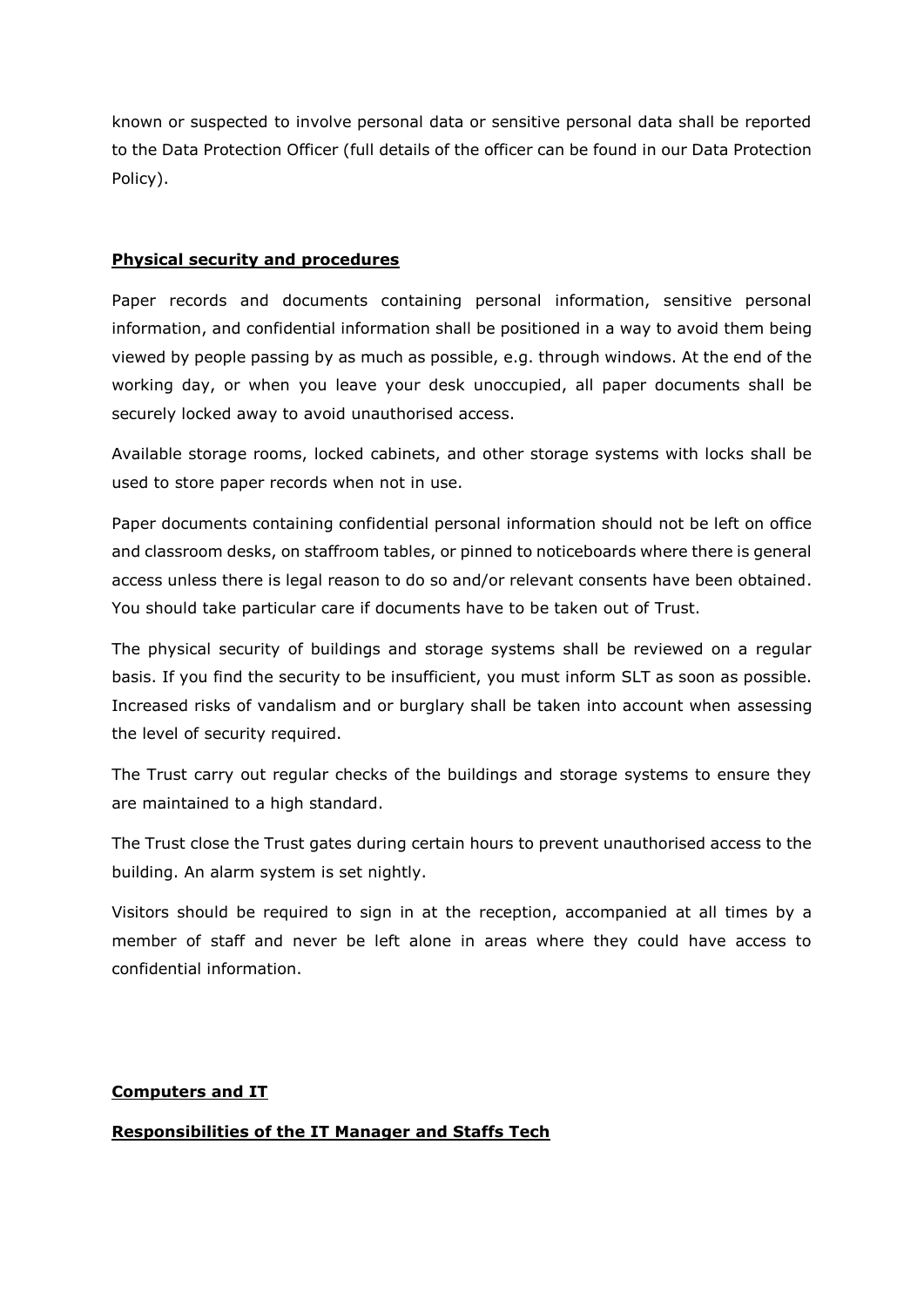known or suspected to involve personal data or sensitive personal data shall be reported to the Data Protection Officer (full details of the officer can be found in our Data Protection Policy).

#### **Physical security and procedures**

Paper records and documents containing personal information, sensitive personal information, and confidential information shall be positioned in a way to avoid them being viewed by people passing by as much as possible, e.g. through windows. At the end of the working day, or when you leave your desk unoccupied, all paper documents shall be securely locked away to avoid unauthorised access.

Available storage rooms, locked cabinets, and other storage systems with locks shall be used to store paper records when not in use.

Paper documents containing confidential personal information should not be left on office and classroom desks, on staffroom tables, or pinned to noticeboards where there is general access unless there is legal reason to do so and/or relevant consents have been obtained. You should take particular care if documents have to be taken out of Trust.

The physical security of buildings and storage systems shall be reviewed on a regular basis. If you find the security to be insufficient, you must inform SLT as soon as possible. Increased risks of vandalism and or burglary shall be taken into account when assessing the level of security required.

The Trust carry out regular checks of the buildings and storage systems to ensure they are maintained to a high standard.

The Trust close the Trust gates during certain hours to prevent unauthorised access to the building. An alarm system is set nightly.

Visitors should be required to sign in at the reception, accompanied at all times by a member of staff and never be left alone in areas where they could have access to confidential information.

#### **Computers and IT**

# **Responsibilities of the IT Manager and Staffs Tech**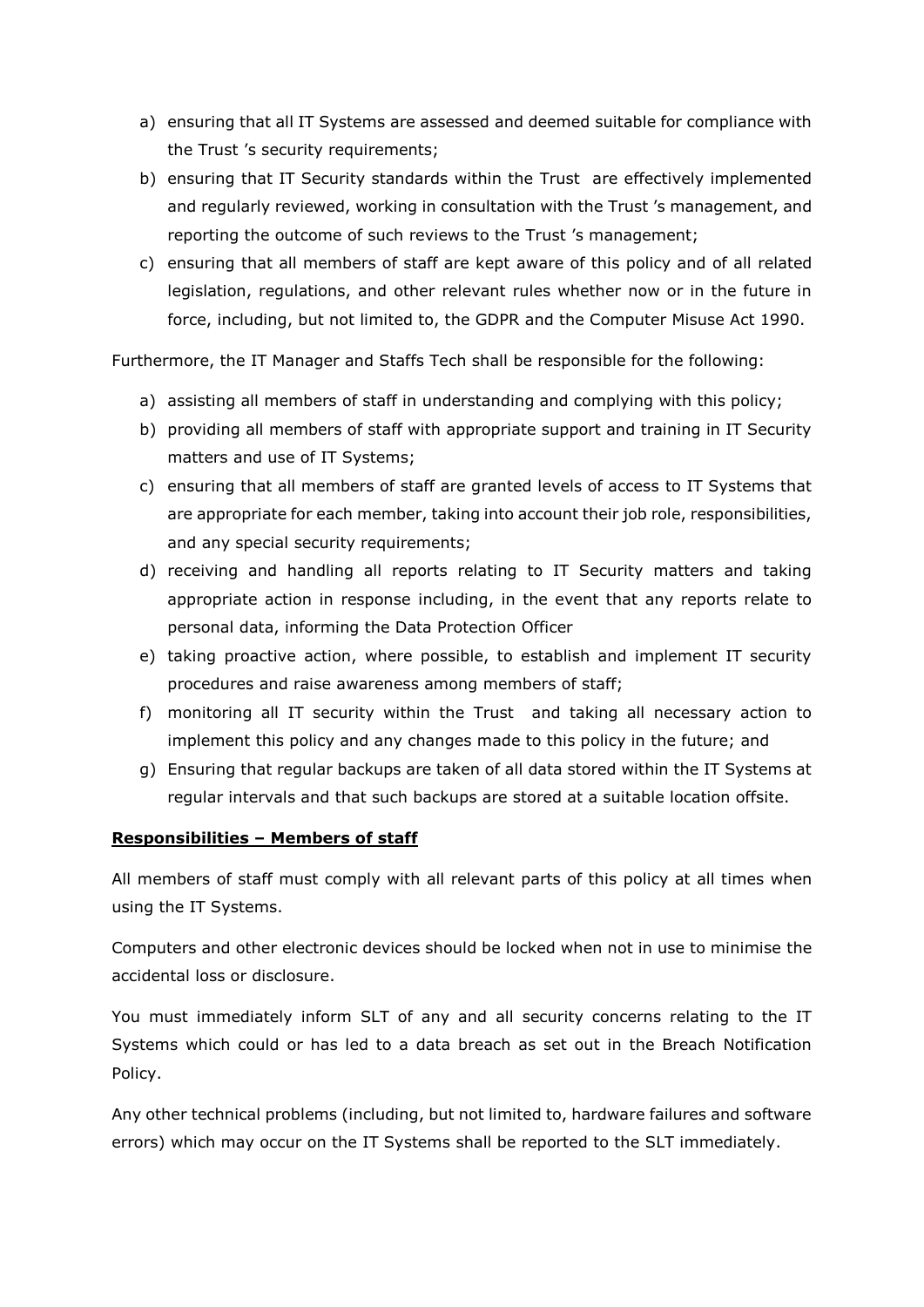- a) ensuring that all IT Systems are assessed and deemed suitable for compliance with the Trust 's security requirements;
- b) ensuring that IT Security standards within the Trust are effectively implemented and regularly reviewed, working in consultation with the Trust 's management, and reporting the outcome of such reviews to the Trust 's management;
- c) ensuring that all members of staff are kept aware of this policy and of all related legislation, regulations, and other relevant rules whether now or in the future in force, including, but not limited to, the GDPR and the Computer Misuse Act 1990.

Furthermore, the IT Manager and Staffs Tech shall be responsible for the following:

- a) assisting all members of staff in understanding and complying with this policy;
- b) providing all members of staff with appropriate support and training in IT Security matters and use of IT Systems;
- c) ensuring that all members of staff are granted levels of access to IT Systems that are appropriate for each member, taking into account their job role, responsibilities, and any special security requirements;
- d) receiving and handling all reports relating to IT Security matters and taking appropriate action in response including, in the event that any reports relate to personal data, informing the Data Protection Officer
- e) taking proactive action, where possible, to establish and implement IT security procedures and raise awareness among members of staff;
- f) monitoring all IT security within the Trust and taking all necessary action to implement this policy and any changes made to this policy in the future; and
- g) Ensuring that regular backups are taken of all data stored within the IT Systems at regular intervals and that such backups are stored at a suitable location offsite.

#### **Responsibilities – Members of staff**

All members of staff must comply with all relevant parts of this policy at all times when using the IT Systems.

Computers and other electronic devices should be locked when not in use to minimise the accidental loss or disclosure.

You must immediately inform SLT of any and all security concerns relating to the IT Systems which could or has led to a data breach as set out in the Breach Notification Policy.

Any other technical problems (including, but not limited to, hardware failures and software errors) which may occur on the IT Systems shall be reported to the SLT immediately.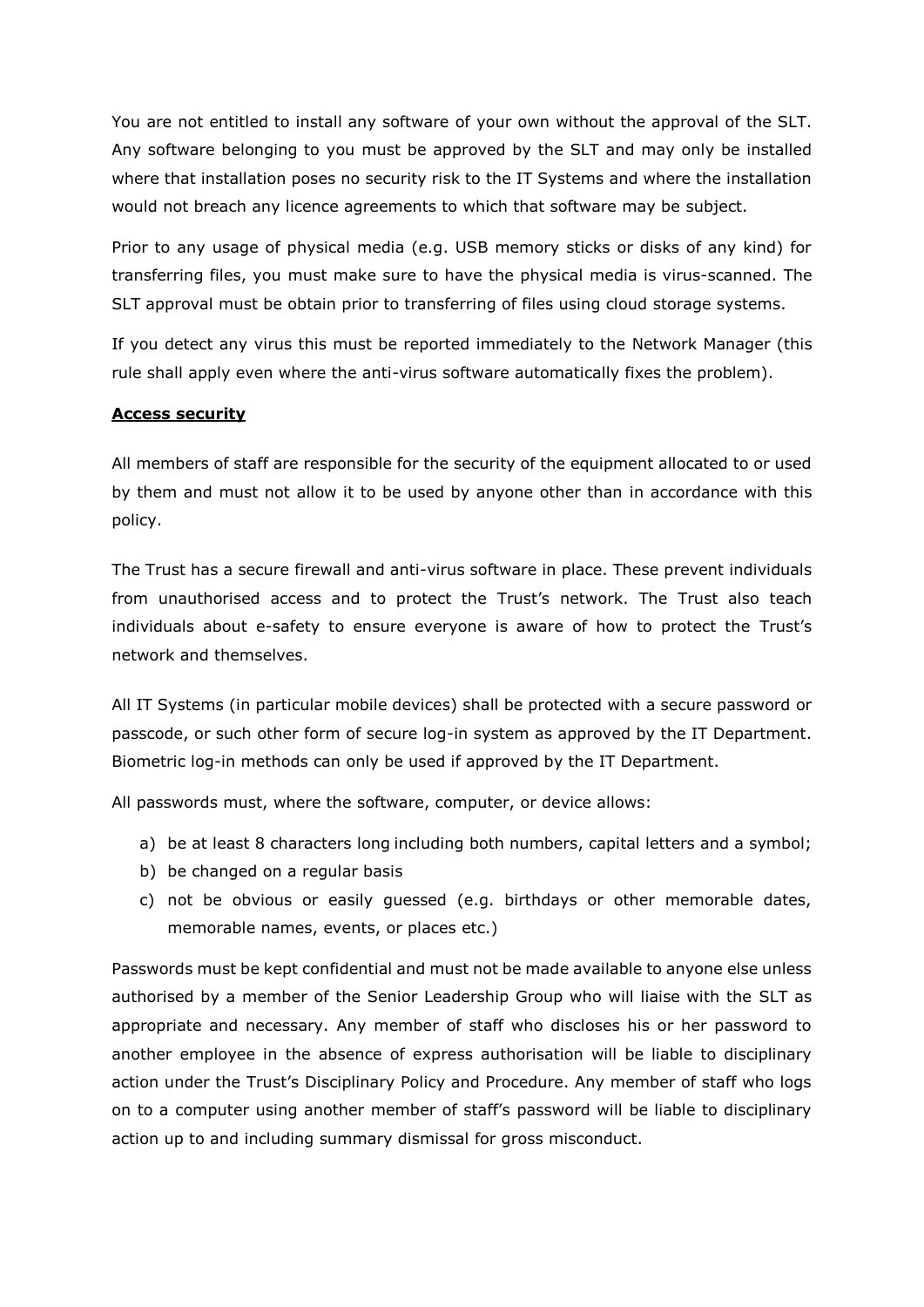You are not entitled to install any software of your own without the approval of the SLT. Any software belonging to you must be approved by the SLT and may only be installed where that installation poses no security risk to the IT Systems and where the installation would not breach any licence agreements to which that software may be subject.

Prior to any usage of physical media (e.g. USB memory sticks or disks of any kind) for transferring files, you must make sure to have the physical media is virus-scanned. The SLT approval must be obtain prior to transferring of files using cloud storage systems.

If you detect any virus this must be reported immediately to the Network Manager (this rule shall apply even where the anti-virus software automatically fixes the problem).

#### **Access security**

All members of staff are responsible for the security of the equipment allocated to or used by them and must not allow it to be used by anyone other than in accordance with this policy.

The Trust has a secure firewall and anti-virus software in place. These prevent individuals from unauthorised access and to protect the Trust's network. The Trust also teach individuals about e-safety to ensure everyone is aware of how to protect the Trust's network and themselves.

All IT Systems (in particular mobile devices) shall be protected with a secure password or passcode, or such other form of secure log-in system as approved by the IT Department. Biometric log-in methods can only be used if approved by the IT Department.

All passwords must, where the software, computer, or device allows:

- a) be at least 8 characters long including both numbers, capital letters and a symbol;
- b) be changed on a regular basis
- c) not be obvious or easily guessed (e.g. birthdays or other memorable dates, memorable names, events, or places etc.)

Passwords must be kept confidential and must not be made available to anyone else unless authorised by a member of the Senior Leadership Group who will liaise with the SLT as appropriate and necessary. Any member of staff who discloses his or her password to another employee in the absence of express authorisation will be liable to disciplinary action under the Trust's Disciplinary Policy and Procedure. Any member of staff who logs on to a computer using another member of staff's password will be liable to disciplinary action up to and including summary dismissal for gross misconduct.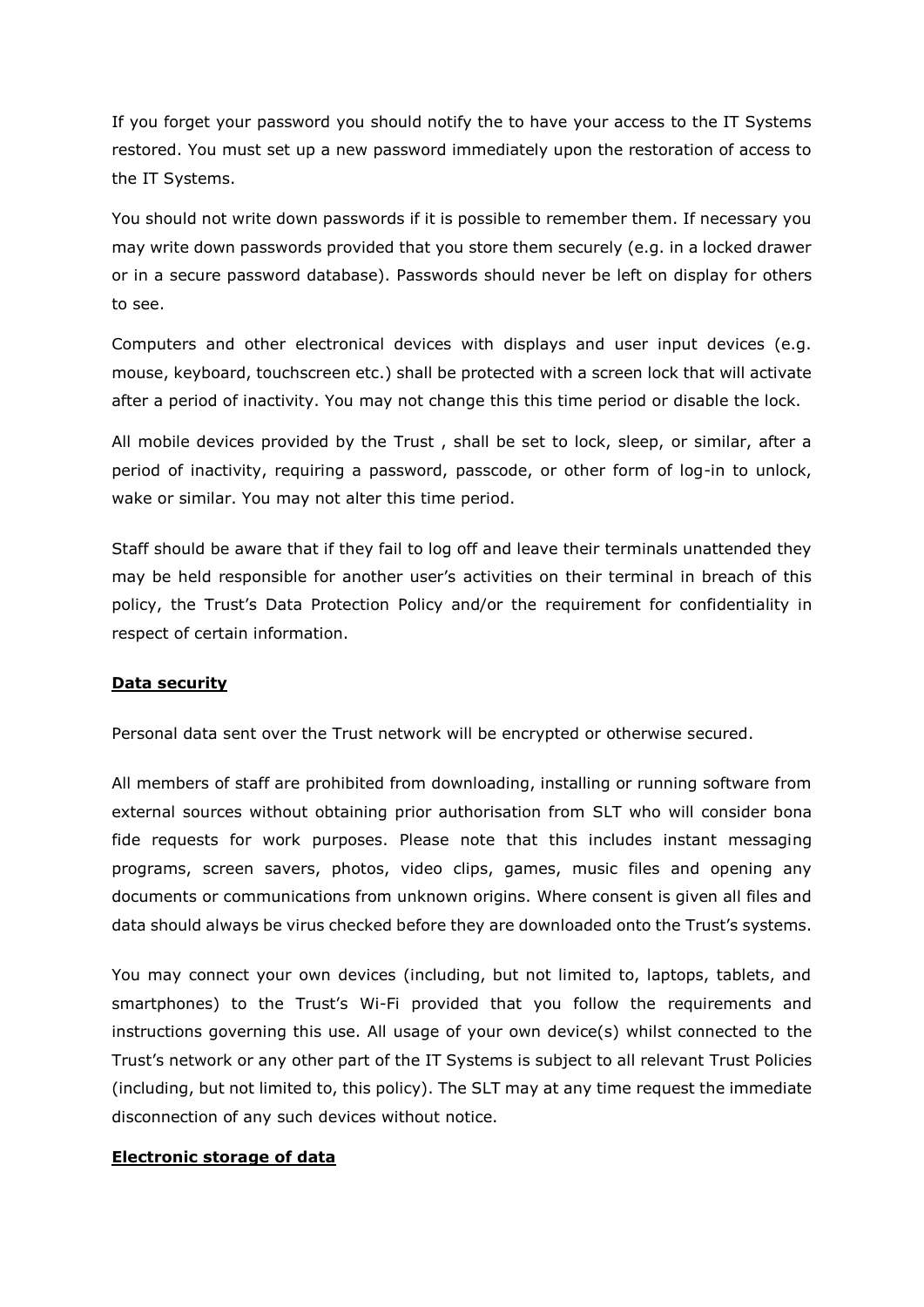If you forget your password you should notify the to have your access to the IT Systems restored. You must set up a new password immediately upon the restoration of access to the IT Systems.

You should not write down passwords if it is possible to remember them. If necessary you may write down passwords provided that you store them securely (e.g. in a locked drawer or in a secure password database). Passwords should never be left on display for others to see.

Computers and other electronical devices with displays and user input devices (e.g. mouse, keyboard, touchscreen etc.) shall be protected with a screen lock that will activate after a period of inactivity. You may not change this this time period or disable the lock.

All mobile devices provided by the Trust , shall be set to lock, sleep, or similar, after a period of inactivity, requiring a password, passcode, or other form of log-in to unlock, wake or similar. You may not alter this time period.

Staff should be aware that if they fail to log off and leave their terminals unattended they may be held responsible for another user's activities on their terminal in breach of this policy, the Trust's Data Protection Policy and/or the requirement for confidentiality in respect of certain information.

#### **Data security**

Personal data sent over the Trust network will be encrypted or otherwise secured.

All members of staff are prohibited from downloading, installing or running software from external sources without obtaining prior authorisation from SLT who will consider bona fide requests for work purposes. Please note that this includes instant messaging programs, screen savers, photos, video clips, games, music files and opening any documents or communications from unknown origins. Where consent is given all files and data should always be virus checked before they are downloaded onto the Trust's systems.

You may connect your own devices (including, but not limited to, laptops, tablets, and smartphones) to the Trust's Wi-Fi provided that you follow the requirements and instructions governing this use. All usage of your own device(s) whilst connected to the Trust's network or any other part of the IT Systems is subject to all relevant Trust Policies (including, but not limited to, this policy). The SLT may at any time request the immediate disconnection of any such devices without notice.

#### **Electronic storage of data**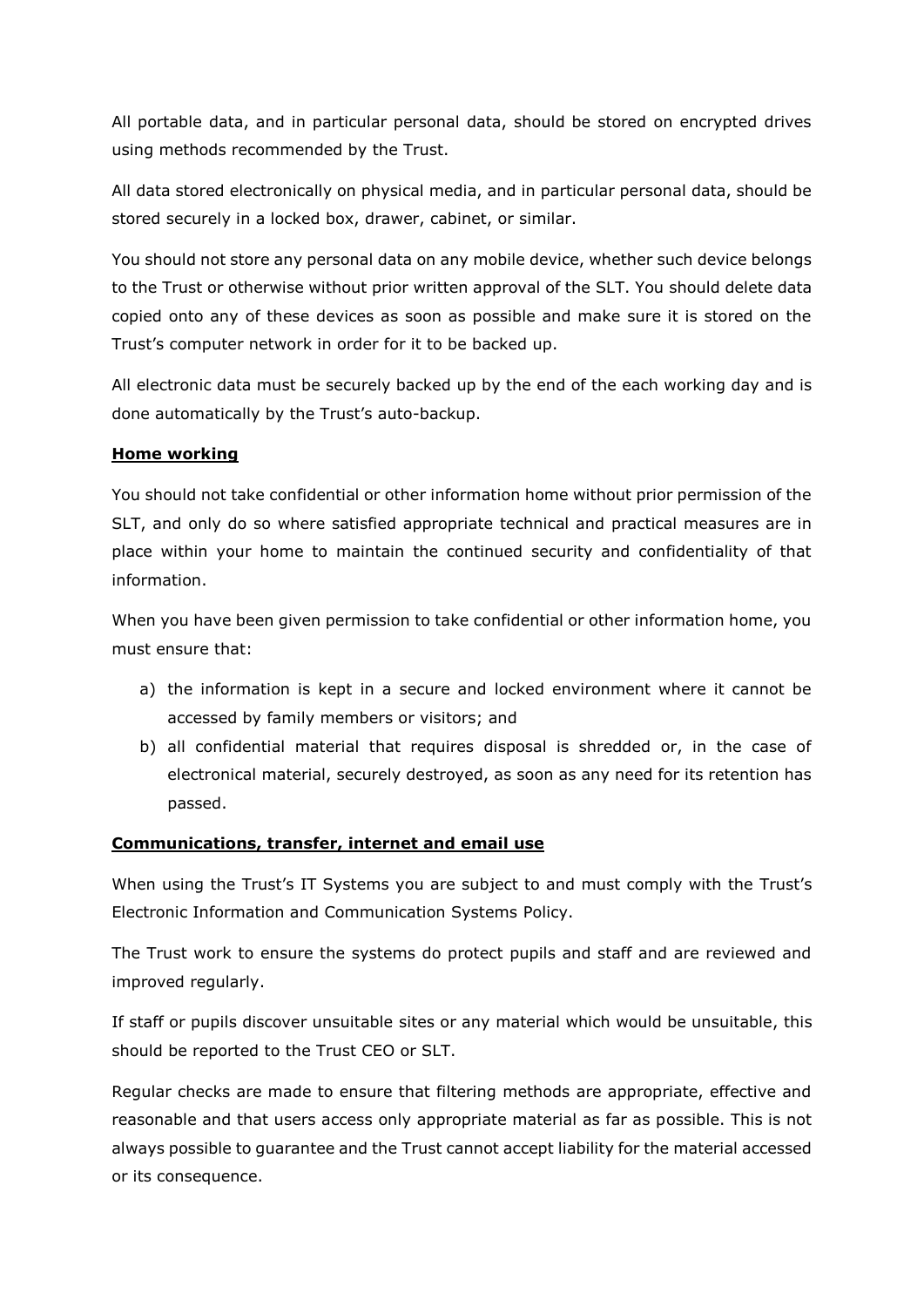All portable data, and in particular personal data, should be stored on encrypted drives using methods recommended by the Trust.

All data stored electronically on physical media, and in particular personal data, should be stored securely in a locked box, drawer, cabinet, or similar.

You should not store any personal data on any mobile device, whether such device belongs to the Trust or otherwise without prior written approval of the SLT. You should delete data copied onto any of these devices as soon as possible and make sure it is stored on the Trust's computer network in order for it to be backed up.

All electronic data must be securely backed up by the end of the each working day and is done automatically by the Trust's auto-backup.

#### **Home working**

You should not take confidential or other information home without prior permission of the SLT, and only do so where satisfied appropriate technical and practical measures are in place within your home to maintain the continued security and confidentiality of that information.

When you have been given permission to take confidential or other information home, you must ensure that:

- a) the information is kept in a secure and locked environment where it cannot be accessed by family members or visitors; and
- b) all confidential material that requires disposal is shredded or, in the case of electronical material, securely destroyed, as soon as any need for its retention has passed.

#### **Communications, transfer, internet and email use**

When using the Trust's IT Systems you are subject to and must comply with the Trust's Electronic Information and Communication Systems Policy.

The Trust work to ensure the systems do protect pupils and staff and are reviewed and improved regularly.

If staff or pupils discover unsuitable sites or any material which would be unsuitable, this should be reported to the Trust CEO or SLT.

Regular checks are made to ensure that filtering methods are appropriate, effective and reasonable and that users access only appropriate material as far as possible. This is not always possible to guarantee and the Trust cannot accept liability for the material accessed or its consequence.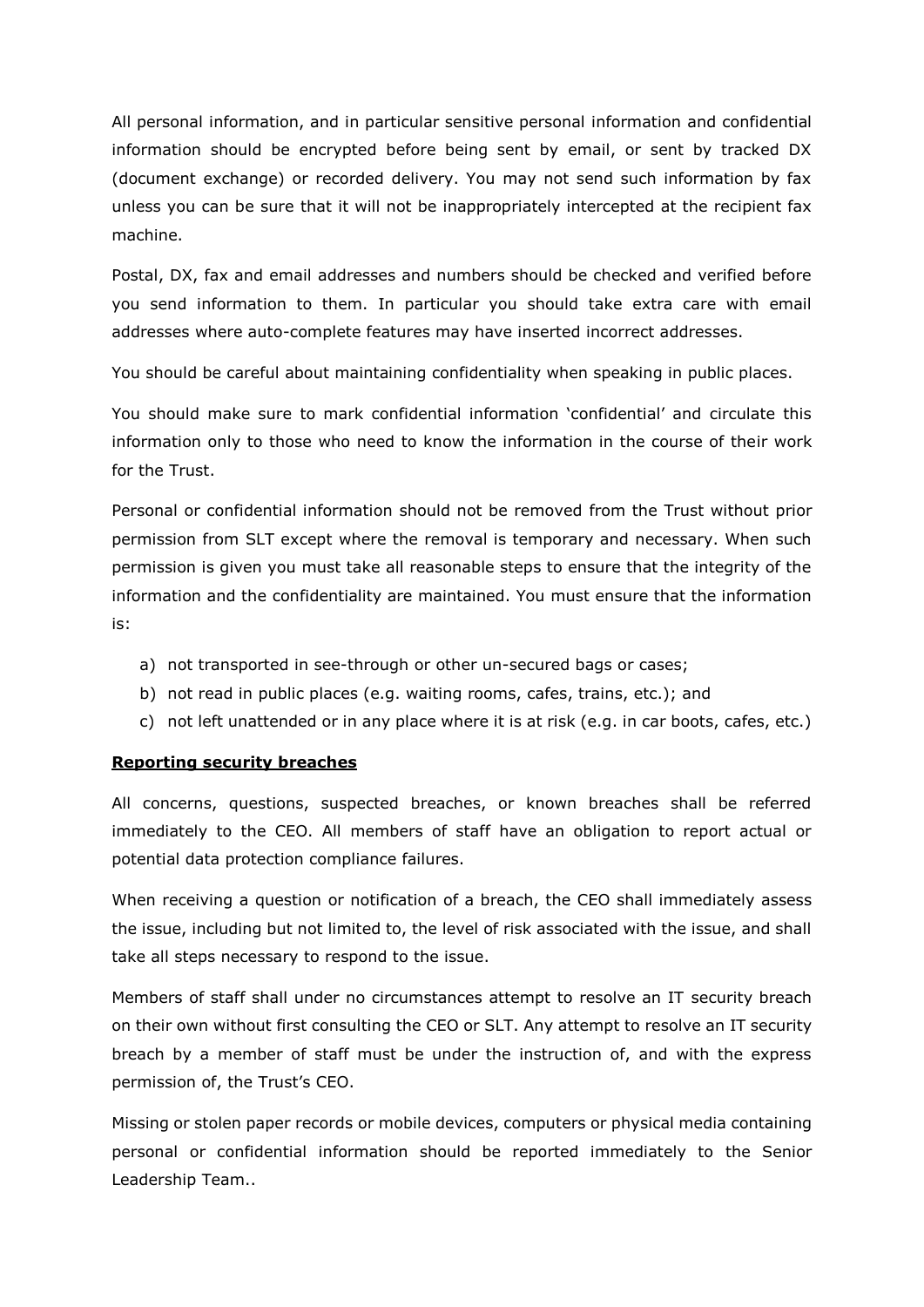All personal information, and in particular sensitive personal information and confidential information should be encrypted before being sent by email, or sent by tracked DX (document exchange) or recorded delivery. You may not send such information by fax unless you can be sure that it will not be inappropriately intercepted at the recipient fax machine.

Postal, DX, fax and email addresses and numbers should be checked and verified before you send information to them. In particular you should take extra care with email addresses where auto-complete features may have inserted incorrect addresses.

You should be careful about maintaining confidentiality when speaking in public places.

You should make sure to mark confidential information 'confidential' and circulate this information only to those who need to know the information in the course of their work for the Trust.

Personal or confidential information should not be removed from the Trust without prior permission from SLT except where the removal is temporary and necessary. When such permission is given you must take all reasonable steps to ensure that the integrity of the information and the confidentiality are maintained. You must ensure that the information is:

- a) not transported in see-through or other un-secured bags or cases;
- b) not read in public places (e.g. waiting rooms, cafes, trains, etc.); and
- c) not left unattended or in any place where it is at risk (e.g. in car boots, cafes, etc.)

#### **Reporting security breaches**

All concerns, questions, suspected breaches, or known breaches shall be referred immediately to the CEO. All members of staff have an obligation to report actual or potential data protection compliance failures.

When receiving a question or notification of a breach, the CEO shall immediately assess the issue, including but not limited to, the level of risk associated with the issue, and shall take all steps necessary to respond to the issue.

Members of staff shall under no circumstances attempt to resolve an IT security breach on their own without first consulting the CEO or SLT. Any attempt to resolve an IT security breach by a member of staff must be under the instruction of, and with the express permission of, the Trust's CEO.

Missing or stolen paper records or mobile devices, computers or physical media containing personal or confidential information should be reported immediately to the Senior Leadership Team..